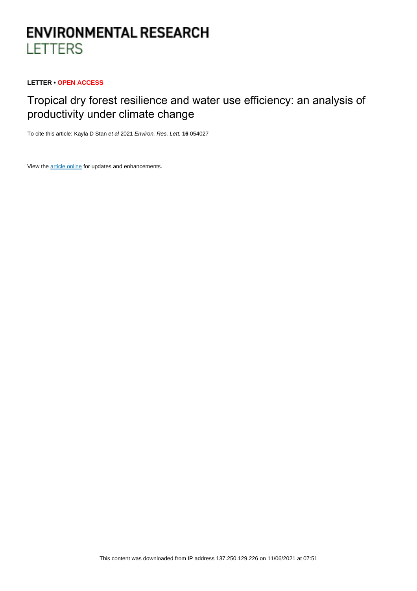# **ENVIRONMENTAL RESEARCH LETTERS**

# **LETTER • OPEN ACCESS**

# Tropical dry forest resilience and water use efficiency: an analysis of productivity under climate change

To cite this article: Kayla D Stan et al 2021 Environ. Res. Lett. **16** 054027

View the [article online](https://doi.org/10.1088/1748-9326/abf6f3) for updates and enhancements.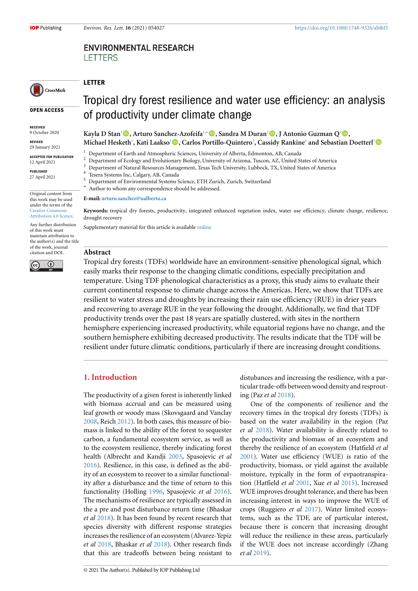# **ENVIRONMENTAL RESEARCH LETTERS**

# CrossMark

**OPEN ACCESS**

**RECEIVED** 9 October 2020

**REVISED**

29 January 2021

**ACCEPTED FOR PUBLICATION** 12 April 2021

**PUBLISHED** 27 April 2021

Original content from this work may be used under the terms of the [Creative Commons](https://creativecommons.org/licenses/by/4.0/) [Attribution 4.0 licence](https://creativecommons.org/licenses/by/4.0/).

Any further distribution of this work must maintain attribution to the author(s) and the title of the work, journal citation and DOI.



# Tropical dry forest resilience and water use efficiency: an analysis of productivity under climate change

**Kayla D Stan**[1](#page-1-0)**, Arturo Sanchez-Azofeifa**[1,](#page-1-0)*[∗](#page-1-1)***, Sandra M Duran**[2](#page-1-2)**, J Antonio Guzman Q**[1](#page-1-0)**, Michael Hesketh**[1](#page-1-0) **, Kati Laakso**[1](#page-1-0)**, Carlos Portillo-Quintero**[3](#page-1-3) **, Cassidy Rankine**[4](#page-1-4) **and Sebastian Doetterl**[5](#page-1-5)

<sup>1</sup> Department of Earth and Atmospheric Sciences, University of Alberta, Edmonton, AB, Canada

- <span id="page-1-0"></span> $\frac{2}{3}$  Department of Ecology and Evolutionary Biology, University of Arizona, Tuscon, AZ, United States of America
- <span id="page-1-2"></span> $3$  Department of Natural Resources Management, Texas Tech University, Lubbock, TX, United States of America
- <span id="page-1-3"></span>Tesera Systems Inc, Calgary, AB, Canada
- <span id="page-1-5"></span><span id="page-1-4"></span><sup>5</sup> Department of Environmental Systems Science, ETH Zurich, Zurich, Switzerland
- <span id="page-1-1"></span>*∗* Author to whom any correspondence should be addressed.

**E-mail: [arturo.sanchez@ualberta.ca](mailto:arturo.sanchez@ualberta.ca)**

**Keywords:** tropical dry forests, productivity, integrated enhanced vegetation index, water use efficiency, climate change, resilience, drought recovery

Supplementary material for this article is available [online](http://doi.org/10.1088/1748-9326/abf6f3)

#### **Abstract**

**LETTER**

Tropical dry forests (TDFs) worldwide have an environment-sensitive phenological signal, which easily marks their response to the changing climatic conditions, especially precipitation and temperature. Using TDF phenological characteristics as a proxy, this study aims to evaluate their current continental response to climate change across the Americas. Here, we show that TDFs are resilient to water stress and droughts by increasing their rain use efficiency (RUE) in drier years and recovering to average RUE in the year following the drought. Additionally, we find that TDF productivity trends over the past 18 years are spatially clustered, with sites in the northern hemisphere experiencing increased productivity, while equatorial regions have no change, and the southern hemisphere exhibiting decreased productivity. The results indicate that the TDF will be resilient under future climatic conditions, particularly if there are increasing drought conditions.

### **1. Introduction**

The productivity of a given forest is inherently linked with biomass accrual and can be measured using leaf growth or woody mass (Skovsgaard and Vanclay [2008](#page-8-0), Reich [2012](#page-8-1)). In both cases, this measure of biomass is linked to the ability of the forest to sequester carbon, a fundamental ecosystem service, as well as to the ecosystem resilience, thereby indicating forest health (Albrecht and Kandji [2003](#page-8-2), Spasojevic *et al* [2016](#page-8-3)). Resilience, in this case, is defined as the ability of an ecosystem to recover to a similar functionality after a disturbance and the time of return to this functionality (Holling [1996](#page-8-4), Spasojevic *et al* [2016\)](#page-8-3). The mechanisms of resilience are typically assessed in the a pre and post disturbance return time (Bhaskar *et al* [2018\)](#page-8-5). It has been found by recent research that species diversity with different response strategies increases the resilience of an ecosystem (Alvarez-Yepiz *et al* [2018,](#page-8-6) Bhaskar *et al* [2018](#page-8-5)). Other research finds that this are tradeoffs between being resistant to distubances and increasing the resilience, with a particular trade-offs between wood density and resprouting (Paz *et al* [2018\)](#page-8-7).

One of the components of resilience and the recovery times in the tropical dry forests (TDFs) is based on the water availability in the region (Paz *et al* [2018\)](#page-8-7). Water availability is directly related to the productivity and biomass of an ecosystem and thereby the resilience of an ecosystem (Hatfield *et al* [2001](#page-8-8)). Water use efficiency (WUE) is ratio of the productivity, biomass, or yield against the available moisture, typically in the form of evpaotranspiration (Hatfield *et al* [2001,](#page-8-8) Xue *et al* [2015](#page-9-0)). Increased WUE improves drought tolerance, and there has been increasing interest in ways to improve the WUE of crops (Ruggiero *et al* [2017](#page-8-9)). Water limited ecosystems, such as the TDF, are of particular interest, because there is concern that increasing drought will reduce the resilience in these areas, particularly if the WUE does not increase accordingly (Zhang *et al* [2019\)](#page-9-1).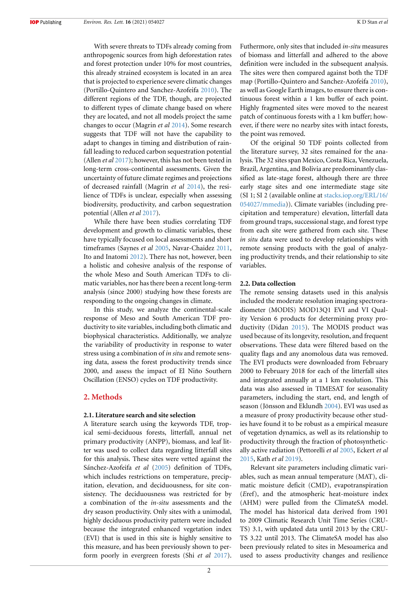With severe threats to TDFs already coming from anthropogenic sources from high deforestation rates and forest protection under 10% for most countries, this already strained ecosystem is located in an area that is projected to experience severe climatic changes (Portillo-Quintero and Sanchez-Azofeifa [2010](#page-8-10)). The different regions of the TDF, though, are projected to different types of climate change based on where they are located, and not all models project the same changes to occur (Magrin *et al* [2014](#page-8-11)). Some research suggests that TDF will not have the capability to adapt to changes in timing and distribution of rainfall leading to reduced carbon sequestration potential (Allen *et al* [2017](#page-8-12)); however, this has not been tested in long-term cross-continental assessments. Given the uncertainty of future climate regimes and projections of decreased rainfall (Magrin *et al* [2014\)](#page-8-11), the resilience of TDFs is unclear, especially when assessing biodiversity, productivity, and carbon sequestration potential (Allen *et al* [2017](#page-8-12)).

While there have been studies correlating TDF development and growth to climatic variables, these have typically focused on local assessments and short timeframes (Saynes *et al* [2005](#page-8-13), Navar-Chaidez [2011,](#page-8-14) Ito and Inatomi [2012](#page-8-15)). There has not, however, been a holistic and cohesive analysis of the response of the whole Meso and South American TDFs to climatic variables, nor has there been a recent long-term analysis (since 2000) studying how these forests are responding to the ongoing changes in climate.

In this study, we analyze the continental-scale response of Meso and South American TDF productivity to site variables, including both climatic and biophysical characteristics. Additionally, we analyze the variability of productivity in response to water stress using a combination of *in situ* and remote sensing data, assess the forest productivity trends since 2000, and assess the impact of El Niño Southern Oscillation (ENSO) cycles on TDF productivity.

### **2. Methods**

#### **2.1. Literature search and site selection**

A literature search using the keywords TDF, tropical semi-deciduous forests, litterfall, annual net primary productivity (ANPP), biomass, and leaf litter was used to collect data regarding litterfall sites for this analysis. These sites were vetted against the Sánchez-Azofeifa et al [\(2005](#page-8-16)) definition of TDFs, which includes restrictions on temperature, precipitation, elevation, and deciduousness, for site consistency. The deciduousness was restricted for by a combination of the *in-situ* assessments and the dry season productivity. Only sites with a unimodal, highly deciduous productivity pattern were included because the integrated enhanced vegetation index (EVI) that is used in this site is highly sensitive to this measure, and has been previously shown to perform poorly in evergreen forests (Shi *et al* [2017\)](#page-8-17).

Futhermore, only sites that included *in-situ* measures of biomass and litterfall and adhered to the above definition were included in the subsequent analysis. The sites were then compared against both the TDF map (Portillo-Quintero and Sanchez-Azofeifa [2010\)](#page-8-10), as well as Google Earth images, to ensure there is continuous forest within a 1 km buffer of each point. Highly fragmented sites were moved to the nearest patch of continuous forests with a 1 km buffer; however, if there were no nearby sites with intact forests, the point was removed.

Of the original 50 TDF points collected from the literature survey, 32 sites remained for the analysis. The 32 sites span Mexico, Costa Rica, Venezuela, Brazil, Argentina, and Bolivia are predominantly classified as late-stage forest, although there are three early stage sites and one intermediate stage site (SI 1; SI 2 (available online at [stacks.iop.org/ERL/16/](https://stacks.iop.org/ERL/16/054027/mmedia) [054027/mmedia\)](https://stacks.iop.org/ERL/16/054027/mmedia)). Climate variables (including precipitation and temperature) elevation, litterfall data from ground traps, successional stage, and forest type from each site were gathered from each site. These *in situ* data were used to develop relationships with remote sensing products with the goal of analyzing productivity trends, and their relationship to site variables.

#### **2.2. Data collection**

The remote sensing datasets used in this analysis included the moderate resolution imaging spectroradiometer (MODIS) MOD13Q1 EVI and VI Quality Version 6 products for determining proxy productivity (Didan [2015\)](#page-8-18). The MODIS product was used because of its longevity, resolution, and frequent observations. These data were filtered based on the quality flags and any anomolous data was removed. The EVI products were downloaded from February 2000 to February 2018 for each of the litterfall sites and integrated annually at a 1 km resolution. This data was also assessed in TIMESAT for seasonality parameters, including the start, end, and length of season (Jönsson and Eklundh [2004](#page-8-19)). EVI was used as a measure of proxy productivity because other studies have found it to be robust as a empirical measure of vegetation dynamics, as well as its relationship to productivity through the fraction of photosynthetically active radiation (Pettorelli *et al* [2005](#page-8-20), Eckert *et al* [2015](#page-8-21), Kath *et al* [2019](#page-8-22)).

Relevant site parameters including climatic variables, such as mean annual temperature (MAT), climatic moisture deficit (CMD), evapotranspiration (*E*ref), and the atmospheric heat-moisture index (AHM) were pulled from the ClimateSA model. The model has historical data derived from 1901 to 2009 Climatic Research Unit Time Series (CRU-TS) 3.1, with updated data until 2013 by the CRU-TS 3.22 until 2013. The ClimateSA model has also been previously related to sites in Mesoamerica and used to assess productivity changes and resilience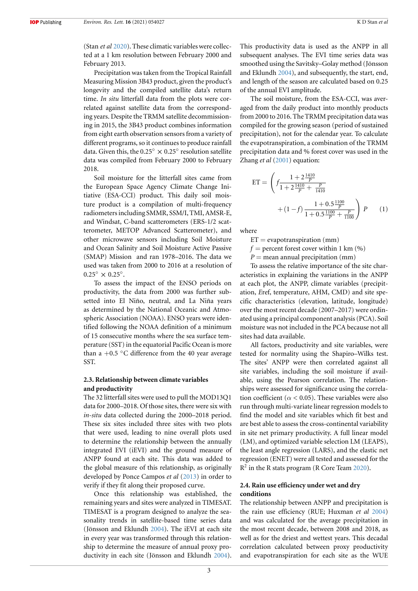(Stan *et al* [2020\)](#page-8-23). These climatic variables were collected at a 1 km resolution between February 2000 and February 2013.

Precipitation was taken from the Tropical Rainfall Measuring Mission 3B43 product, given the product's longevity and the compiled satellite data's return time. *In situ* litterfall data from the plots were correlated against satellite data from the corresponding years. Despite the TRMM satellite decommissioning in 2015, the 3B43 product combines information from eight earth observation sensors from a variety of different programs, so it continues to produce rainfall data. Given this, the 0.25*◦ ×* 0.25*◦* resolution satellite data was compiled from February 2000 to February 2018.

Soil moisture for the litterfall sites came from the European Space Agency Climate Change Initiative (ESA-CCI) product. This daily soil moisture product is a compilation of multi-frequency radiometers including SMMR, SSM/I, TMI, AMSR-E, and Windsat, C-band scatterometers (ERS-1/2 scatterometer, METOP Advanced Scatterometer), and other microwave sensors including Soil Moisture and Ocean Salinity and Soil Moisture Active Passive (SMAP) Mission and ran 1978–2016. The data we used was taken from 2000 to 2016 at a resolution of  $0.25^{\circ} \times 0.25^{\circ}$ .

To assess the impact of the ENSO periods on productivity, the data from 2000 was further subsetted into El Niño, neutral, and La Niña years as determined by the National Oceanic and Atmospheric Association (NOAA). ENSO years were identified following the NOAA definition of a minimum of 15 consecutive months where the sea surface temperature (SST) in the equatorial Pacific Ocean is more than a +0.5 *◦*C difference from the 40 year average SST.

#### **2.3. Relationship between climate variables and productivity**

The 32 litterfall sites were used to pull the MOD13Q1 data for 2000–2018. Of those sites, there were six with *in-situ* data collected during the 2000–2018 period. These six sites included three sites with two plots that were used, leading to nine overall plots used to determine the relationship between the annually integrated EVI (iEVI) and the ground measure of ANPP found at each site. This data was added to the global measure of this relationship, as originally developed by Ponce Campos *et al* ([2013\)](#page-8-24) in order to verify if they fit along their proposed curve.

Once this relationship was established, the remaining years and sites were analyzed in TIMESAT. TIMESAT is a program designed to analyze the seasonality trends in satellite-based time series data (Jönsson and Eklundh [2004\)](#page-8-19). The iEVI at each site in every year was transformed through this relationship to determine the measure of annual proxy productivity in each site (Jönsson and Eklundh [2004\)](#page-8-19).

This productivity data is used as the ANPP in all subsequent analyses. The EVI time series data was smoothed using the Savitsky–Golay method (Jönsson and Eklundh [2004](#page-8-19)), and subsequently, the start, end, and length of the season are calculated based on 0.25 of the annual EVI amplitude.

The soil moisture, from the ESA-CCI, was averaged from the daily product into monthly products from 2000 to 2016. The TRMM precipitation data was compiled for the growing season (period of sustained precipitation), not for the calendar year. To calculate the evapotranspiration, a combination of the TRMM precipitation data and % forest cover was used in the Zhang *et al* [\(2001\)](#page-9-2) equation:

ET = 
$$
\left(f \frac{1 + 2 \frac{1410}{P}}{1 + 2 \frac{1410}{P} + \frac{P}{1410}} + (1 - f) \frac{1 + 0.5 \frac{1100}{P}}{1 + 0.5 \frac{1100}{P} + \frac{P}{1100}}\right) P
$$
 (1)

where

 $ET = evaporation (mm)$ 

 $f =$  percent forest cover within 1 km  $(\% )$ 

 $P =$  mean annual precipitation (mm)

To assess the relative importance of the site characteristics in explaining the variations in the ANPP at each plot, the ANPP, climate variables (precipitation, *E*ref, temperature, AHM, CMD) and site specific characteristics (elevation, latitude, longitude) over the most recent decade (2007–2017) were ordinated using a principal component analysis (PCA). Soil moisture was not included in the PCA because not all sites had data available.

All factors, productivity and site variables, were tested for normality using the Shapiro–Wilks test. The sites' ANPP were then correlated against all site variables, including the soil moisture if available, using the Pearson correlation. The relationships were assessed for significance using the correlation coefficient ( $\alpha$  < 0.05). These variables were also run through multi-variate linear regression models to find the model and site variables which fit best and are best able to assess the cross-continental variability in site net primary productivity. A full linear model (LM), and optimized variable selection LM (LEAPS), the least angle regression (LARS), and the elastic net regression (ENET) were all tested and assessed for the R 2 in the R stats program (R Core Team [2020](#page-8-25)).

### **2.4. Rain use efficiency under wet and dry conditions**

The relationship between ANPP and precipitation is the rain use efficiency (RUE; Huxman *et al* [2004](#page-8-26)) and was calculated for the average precipitation in the most recent decade, between 2008 and 2018, as well as for the driest and wettest years. This decadal correlation calculated between proxy productivity and evapotranspiration for each site as the WUE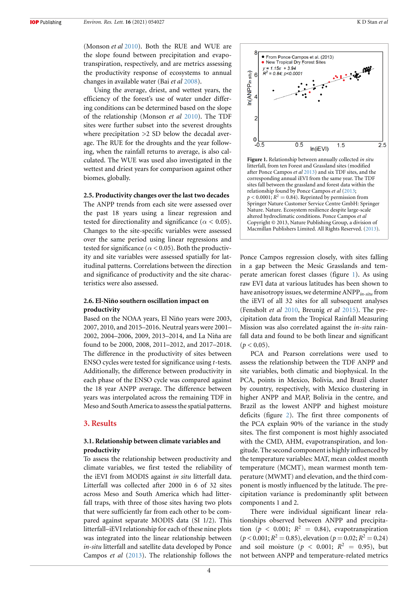(Monson *et al* [2010\)](#page-8-27). Both the RUE and WUE are the slope found between precipitation and evapotranspiration, respectively, and are metrics assessing the productivity response of ecosystems to annual changes in available water (Bai *et al* [2008](#page-8-28)).

Using the average, driest, and wettest years, the efficiency of the forest's use of water under differing conditions can be determined based on the slope of the relationship (Monson *et al* [2010\)](#page-8-27). The TDF sites were further subset into the severest droughts where precipitation >2 SD below the decadal average. The RUE for the droughts and the year following, when the rainfall returns to average, is also calculated. The WUE was used also investigated in the wettest and driest years for comparison against other biomes, globally.

#### **2.5. Productivity changes over the last two decades**

The ANPP trends from each site were assessed over the past 18 years using a linear regression and tested for directionality and significance ( $\alpha$  < 0.05). Changes to the site-specific variables were assessed over the same period using linear regressions and tested for significance ( $\alpha$  < 0.05). Both the productivity and site variables were assessed spatially for latitudinal patterns. Correlations between the direction and significance of productivity and the site characteristics were also assessed.

### **2.6. El-Niño southern oscillation impact on productivity**

Based on the NOAA years, El Niño years were 2003, 2007, 2010, and 2015–2016. Neutral years were 2001– 2002, 2004–2006, 2009, 2013–2014, and La Niña are found to be 2000, 2008, 2011–2012, and 2017–2018. The difference in the productivity of sites between ENSO cycles were tested for significance using *t*-tests. Additionally, the difference between productivity in each phase of the ENSO cycle was compared against the 18 year ANPP average. The difference between years was interpolated across the remaining TDF in Meso and South America to assess the spatial patterns.

#### **3. Results**

# **3.1. Relationship between climate variables and productivity**

To assess the relationship between productivity and climate variables, we first tested the reliability of the iEVI from MODIS against *in situ* litterfall data. Litterfall was collected after 2000 in 6 of 32 sites across Meso and South America which had litterfall traps, with three of those sites having two plots that were sufficiently far from each other to be compared against separate MODIS data (SI 1/2). This litterfall–iEVI relationship for each of these nine plots was integrated into the linear relationship between *in-situ* litterfall and satellite data developed by Ponce Campos *et al* ([2013](#page-8-24)). The relationship follows the

<span id="page-4-0"></span>

**Figure 1.** Relationship between annually collected *in situ* litterfall, from ten Forest and Grassland sites (modified after Ponce Campos *et al* [2013](#page-8-24)) and six TDF sites, and the corresponding annual iEVI from the same year. The TDF sites fall between the grassland and forest data within the relationship found by Ponce Campos *et al* [\(2013;](#page-8-24)  $p < 0.0001; R<sup>2</sup> = 0.84$ ). Reprinted by permission from Springer Nature Customer Service Centre GmbH: Springer Nature. Nature. Ecosystem resilience despite large-scale altered hydroclimatic conditions. Ponce Campos *et al* Copyright © 2013, Nature Publishing Group, a division of Macmillan Publishers Limited. All Rights Reserved.([2013](#page-8-24)).

Ponce Campos regression closely, with sites falling in a gap between the Mesic Grasslands and temperate american forest classes (figure [1](#page-4-0)). As using raw EVI data at various latitudes has been shown to have anisotropy issues, we determine ANPP*in-situ* from the iEVI of all 32 sites for all subsequent analyses (Fensholt *et al* [2010,](#page-8-29) Breunig *et al* [2015\)](#page-8-30). The precipitation data from the Tropical Rainfall Measuring Mission was also correlated against the *in-situ* rainfall data and found to be both linear and significant  $(p < 0.05)$ .

PCA and Pearson correlations were used to assess the relationship between the TDF ANPP and site variables, both climatic and biophysical. In the PCA, points in Mexico, Bolivia, and Brazil cluster by country, respectively, with Mexico clustering in higher ANPP and MAP, Bolivia in the centre, and Brazil as the lowest ANPP and highest moisture deficits (figure [2](#page-5-0)). The first three components of the PCA explain 90% of the variance in the study sites. The first component is most highly associated with the CMD, AHM, evapotranspiration, and longitude. The second component is highly influenced by the temperature variables: MAT, mean coldest month temperature (MCMT), mean warmest month temperature (MWMT) and elevation, and the third component is mostly influenced by the latitude. The precipitation variance is predominantly split between components 1 and 2.

There were individual significant linear relationships observed between ANPP and precipitation ( $p < 0.001$ ;  $R^2 = 0.84$ ), evapotranspiration  $(p < 0.001; R<sup>2</sup> = 0.85)$ , elevation  $(p = 0.02; R<sup>2</sup> = 0.24)$ and soil moisture ( $p < 0.001$ ;  $R^2 = 0.95$ ), but not between ANPP and temperature-related metrics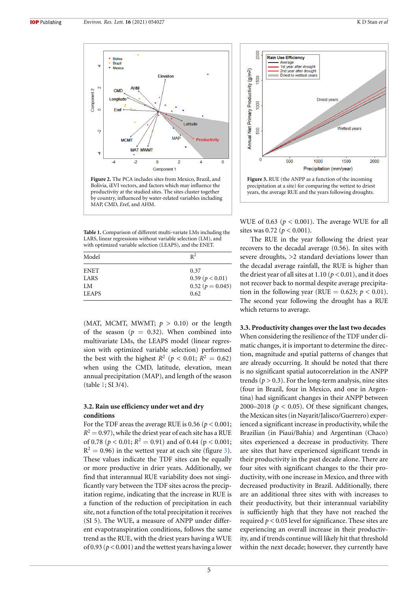<span id="page-5-0"></span>

**Figure 2.** The PCA includes sites from Mexico, Brazil, and Bolivia, iEVI vectors, and factors which may influence the productivity at the studied sites. The sites cluster together by country, influenced by water-related variables including MAP, CMD, *E*ref, and AHM.

<span id="page-5-1"></span>**Table 1.** Comparison of different multi-variate LMs including the LARS, linear regressions without variable selection (LM), and with optimized variable selection (LEAPS), and the ENET.

| Model        | $R^2$              |
|--------------|--------------------|
| <b>ENET</b>  | 0.37               |
| LARS         | 0.59 (p < 0.01)    |
| LM           | $0.52 (p = 0.045)$ |
| <b>LEAPS</b> | 0.62               |

(MAT, MCMT, MWMT;  $p > 0.10$ ) or the length of the season ( $p = 0.32$ ). When combined into multivariate LMs, the LEAPS model (linear regression with optimized variable selection) performed the best with the highest  $R^2$  ( $p < 0.01; R^2 = 0.62$ ) when using the CMD, latitude, elevation, mean annual precipitation (MAP), and length of the season (table [1](#page-5-1); SI 3/4).

#### **3.2. Rain use efficiency under wet and dry conditions**

For the TDF areas the average RUE is  $0.56$  ( $p < 0.001$ ;  $R^2$  = 0.97), while the driest year of each site has a RUE of 0.78 ( $p < 0.01; R<sup>2</sup> = 0.91$ ) and of 0.44 ( $p < 0.001;$  $R<sup>2</sup> = 0.96$ ) in the wettest year at each site (figure [3\)](#page-5-2). These values indicate the TDF sites can be equally or more productive in drier years. Additionally, we find that interannual RUE variability does not singificantly vary between the TDF sites across the precipitation regime, indicating that the increase in RUE is a function of the reduction of precipitation in each site, not a function of the total precipitation it receives (SI 5). The WUE, a measure of ANPP under different evapotranspiration conditions, follows the same trend as the RUE, with the driest years having a WUE of 0.93 (*p*< 0.001) and the wettest years having a lower

<span id="page-5-2"></span>

WUE of 0.63 ( $p < 0.001$ ). The average WUE for all sites was  $0.72$  ( $p < 0.001$ ).

The RUE in the year following the driest year recovers to the decadal average (0.56). In sites with severe droughts, >2 standard deviations lower than the decadal average rainfall, the RUE is higher than the driest year of all sites at  $1.10 (p < 0.01)$ , and it does not recover back to normal despite average precipitation in the following year (RUE =  $0.623$ ;  $p < 0.01$ ). The second year following the drought has a RUE which returns to average.

#### **3.3. Productivity changes over the last two decades**

When considering the resilience of the TDF under climatic changes, it is important to determine the direction, magnitude and spatial patterns of changes that are already occurring. It should be noted that there is no significant spatial autocorrelation in the ANPP trends ( $p > 0.3$ ). For the long-term analysis, nine sites (four in Brazil, four in Mexico, and one in Argentina) had significant changes in their ANPP between 2000–2018 ( $p < 0.05$ ). Of these significant changes, the Mexican sites (in Nayarit/Jalisco/Guerrero) experienced a significant increase in productivity, while the Brazilian (in Piaui/Bahia) and Argentinan (Chaco) sites experienced a decrease in productivity. There are sites that have experienced significant trends in their productivity in the past decade alone. There are four sites with significant changes to the their productivity, with one increase in Mexico, and three with decreased productivity in Brazil. Additionally, there are an additional three sites with with increases to their productivity, but their interannual variability is sufficiently high that they have not reached the required  $p < 0.05$  level for significance. These sites are experiencing an overall increase in their productivity, and if trends continue will likely hit that threshold within the next decade; however, they currently have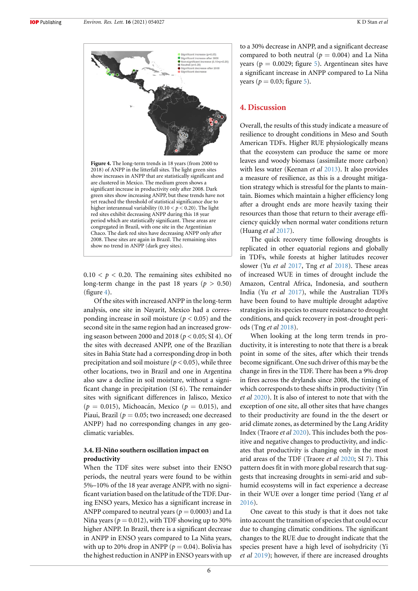<span id="page-6-0"></span>

 $0.10 < p < 0.20$ . The remaining sites exhibited no long-term change in the past 18 years ( $p > 0.50$ ) (figure [4](#page-6-0)).

Of the sites with increased ANPP in the long-term analysis, one site in Nayarit, Mexico had a corresponding increase in soil moisture ( $p < 0.05$ ) and the second site in the same region had an increased growing season between 2000 and 2018 (*p* < 0.05; SI 4). Of the sites with decreased ANPP, one of the Brazilian sites in Bahia State had a corresponding drop in both precipitation and soil moisture ( $p < 0.05$ ), while three other locations, two in Brazil and one in Argentina also saw a decline in soil moisture, without a significant change in precipitation (SI 6). The remainder sites with significant differences in Jalisco, Mexico  $(p = 0.015)$ , Michoacán, Mexico  $(p = 0.015)$ , and Piaui, Brazil ( $p = 0.05$ ; two increased; one decreased ANPP) had no corresponding changes in any geoclimatic variables.

#### **3.4. El-Niño southern oscillation impact on productivity**

When the TDF sites were subset into their ENSO periods, the neutral years were found to be within 5%–10% of the 18 year average ANPP, with no significant variation based on the latitude of the TDF. During ENSO years, Mexico has a significant increase in ANPP compared to neutral years ( $p = 0.0003$ ) and La Niña years ( $p = 0.012$ ), with TDF showing up to 30% higher ANPP. In Brazil, there is a significant decrease in ANPP in ENSO years compared to La Niña years, with up to 20% drop in ANPP ( $p = 0.04$ ). Bolivia has the highest reduction in ANPP in ENSO years with up

to a 30% decrease in ANPP, and a significant decrease compared to both neutral ( $p = 0.004$ ) and La Niña years ( $p = 0.0029$ ; figure [5](#page-7-0)). Argentinean sites have a significant increase in ANPP compared to La Niña years ( $p = 0.03$ ; figure [5](#page-7-0)).

### **4. Discussion**

Overall, the results of this study indicate a measure of resilience to drought conditions in Meso and South American TDFs. Higher RUE physiologically means that the ecosystem can produce the same or more leaves and woody biomass (assimilate more carbon) with less water (Keenan *et al* [2013](#page-8-31)). It also provides a measure of resilience, as this is a drought mitigation strategy which is stressful for the plants to maintain. Biomes which maintain a higher efficiency long after a drought ends are more heavily taxing their resources than those that return to their average efficiency quickly when normal water conditions return (Huang *et al* [2017](#page-8-32)).

The quick recovery time following droughts is replicated in other equatorial regions and globally in TDFs, while forests at higher latitudes recover slower (Yu *et al* [2017,](#page-9-3) Tng *et al* [2018](#page-9-4)). These areas of increased WUE in times of drought include the Amazon, Central Africa, Indonesia, and southern India (Yu *et al* [2017\)](#page-9-3), while the Australian TDFs have been found to have multiple drought adaptive strategies in its species to ensure resistance to drought conditions, and quick recovery in post-drought periods (Tng *et al* [2018\)](#page-9-4).

When looking at the long term trends in productivity, it is interesting to note that there is a break point in some of the sites, after which their trends become significant. One such driver of this may be the change in fires in the TDF. There has been a 9% drop in fires across the drylands since 2008, the timing of which corresponds to these shifts in productivity (Yin *et al* [2020\)](#page-9-5). It is also of interest to note that with the exception of one site, all other sites that have changes to their productivity are found in the the desert or arid climate zones, as determined by the Lang Aridity Index (Traore *et al* [2020](#page-9-6)). This includes both the positive and negative changes to productivity, and indicates that productivity is changing only in the most arid areas of the TDF (Traore *et al* [2020;](#page-9-6) SI 7). This pattern does fit in with more global research that suggests that increasing droughts in semi-arid and subhumid ecosystems will in fact experience a decrease in their WUE over a longer time period (Yang *et al* [2016](#page-9-7)).

One caveat to this study is that it does not take into account the transition of species that could occur due to changing climatic conditions. The significant changes to the RUE due to drought indicate that the species present have a high level of isohydricity (Yi *et al* [2019](#page-9-8)); however, if there are increased droughts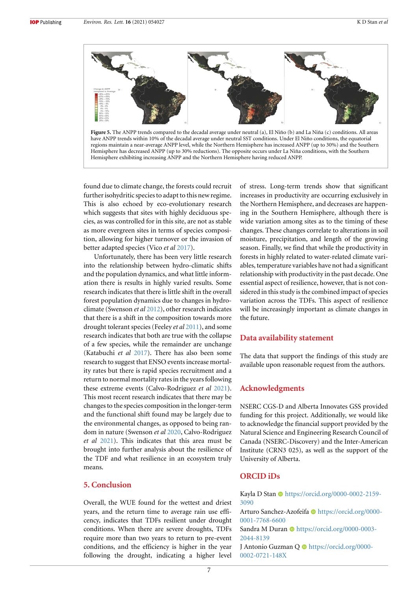<span id="page-7-0"></span>

have ANPP trends within 10% of the decadal average under neutral SST conditions. Under El Niño conditions, the equatorial regions maintain a near-average ANPP level, while the Northern Hemisphere has increased ANPP (up to 30%) and the Southern Hemisphere has decreased ANPP (up to 30% reductions). The opposite occurs under La Niña conditions, with the Southern Hemisphere exhibiting increasing ANPP and the Northern Hemisphere having reduced ANPP.

found due to climate change, the forests could recruit further isohydritic species to adapt to this new regime. This is also echoed by eco-evolutionary research which suggests that sites with highly deciduous species, as was controlled for in this site, are not as stable as more evergreen sites in terms of species composition, allowing for higher turnover or the invasion of better adapted species (Vico *et al* [2017](#page-9-9)).

Unfortunately, there has been very little research into the relationship between hydro-climatic shifts and the population dynamics, and what little information there is results in highly varied results. Some research indicates that there is little shift in the overall forest population dynamics due to changes in hydroclimate (Swenson *et al* [2012](#page-8-33)), other research indicates that there is a shift in the composition towards more drought tolerant species (Feeley *et al* [2011\)](#page-8-34), and some research indicates that both are true with the collapse of a few species, while the remainder are unchange (Katabuchi *et al* [2017\)](#page-8-35). There has also been some research to suggest that ENSO events increase mortality rates but there is rapid species recruitment and a return to normal mortality rates in the years following these extreme events (Calvo-Rodriguez *et al* [2021\)](#page-8-36). This most recent research indicates that there may be changes to the species composition in the longer-term and the functional shift found may be largely due to the environmental changes, as opposed to being random in nature (Swenson *et al* [2020](#page-8-37), Calvo-Rodriguez *et al* [2021\)](#page-8-36). This indicates that this area must be brought into further analysis about the resilience of the TDF and what resilience in an ecosystem truly means.

### **5. Conclusion**

Overall, the WUE found for the wettest and driest years, and the return time to average rain use efficency, indicates that TDFs resilient under drought conditions. When there are severe droughts, TDFs require more than two years to return to pre-event conditions, and the efficiency is higher in the year following the drought, indicating a higher level of stress. Long-term trends show that significant increases in productivity are occurring exclusively in the Northern Hemisphere, and decreases are happening in the Southern Hemisphere, although there is wide variation among sites as to the timing of these changes. These changes correlate to alterations in soil moisture, precipitation, and length of the growing season. Finally, we find that while the productivity in forests in highly related to water-related climate variables, temperature variables have not had a significant relationship with productivity in the past decade. One essential aspect of resilience, however, that is not considered in this study is the combined impact of species variation across the TDFs. This aspect of resilience will be increasingly important as climate changes in the future.

#### **Data availability statement**

The data that support the findings of this study are available upon reasonable request from the authors.

### **Acknowledgments**

NSERC CGS-D and Alberta Innovates GSS provided funding for this project. Additionally, we would like to acknowledge the financial support provided by the Natural Science and Engineering Research Council of Canada (NSERC-Discovery) and the Inter-American Institute (CRN3 025), as well as the support of the University of Alberta.

# **ORCID iDs**

Kayla D Stan  $\bullet$  [https://orcid.org/0000-0002-2159-](https://orcid.org/0000-0002-2159-3090) [3090](https://orcid.org/0000-0002-2159-3090)

Arturo Sanchez-Azofeifa · [https://orcid.org/0000-](https://orcid.org/0000-0001-7768-6600) [0001-7768-6600](https://orcid.org/0000-0001-7768-6600)

Sandra M Duran · [https://orcid.org/0000-0003-](https://orcid.org/0000-0003-2044-8139) [2044-8139](https://orcid.org/0000-0003-2044-8139)

J Antonio Guzman Q · [https://orcid.org/0000-](https://orcid.org/0000-0002-0721-148X) [0002-0721-148X](https://orcid.org/0000-0002-0721-148X)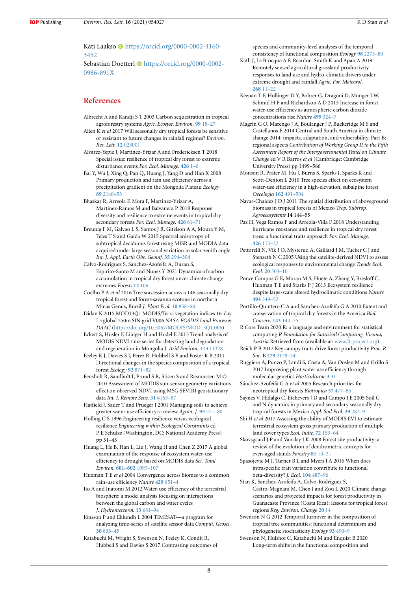**IOP** Publishing

Kati Laakso · [https://orcid.org/0000-0002-4160-](https://orcid.org/0000-0002-4160-3452) [3452](https://orcid.org/0000-0002-4160-3452)

Sebastian Doetterl · [https://orcid.org/0000-0002-](https://orcid.org/0000-0002-0986-891X) [0986-891X](https://orcid.org/0000-0002-0986-891X)

## **References**

- <span id="page-8-2"></span>Albrecht A and Kandji S T 2003 Carbon sequestration in tropical agroforestry systems *Agric. Ecosyst. Environ.* **[99](https://doi.org/10.1016/S0167-8809(03)00138-5)** [15–27](https://doi.org/10.1016/S0167-8809(03)00138-5)
- <span id="page-8-12"></span>Allen K *et al* 2017 Will seasonally dry tropical forests be sensitive or resistant to future changes in rainfall regimes? *Environ. Res. Lett.* **[12](https://doi.org/10.1088/1748-9326/aa5968)** [023001](https://doi.org/10.1088/1748-9326/aa5968)
- <span id="page-8-6"></span>Alvarez-Yepiz J, Martinez-Yrizar A and Fredericksen T 2018 Special issue: resilience of tropical dry forest to extreme disturbance events *For. Ecol. Manage.* **[426](https://doi.org/10.1016/j.foreco.2018.05.067)** [1–6](https://doi.org/10.1016/j.foreco.2018.05.067)
- <span id="page-8-28"></span>Bai Y, Wu J, Xing Q, Pan Q, Huang J, Yang D and Han X 2008 Primary production and rain use efficiency across a precipitation gradient on the Mongolia Plateau *Ecology* **[89](https://doi.org/10.1890/07-0992.1)** [2140–53](https://doi.org/10.1890/07-0992.1)
- <span id="page-8-5"></span>Bhaskar R, Arreola F, Mora F, Martinez-Yrizar A, Martinez-Ramos M and Balvanera P 2018 Response diversity and resilience to extreme events in tropical dry secondary forests *For. Ecol. Manage.* **[426](https://doi.org/10.1016/j.foreco.2017.09.028)** [61–71](https://doi.org/10.1016/j.foreco.2017.09.028)
- <span id="page-8-30"></span>Breunig F M, Galvao L S, Santos J R, Gitelson A A, Moura Y M, Teles T S and Gaida W 2015 Spectral anisotropy of subtropical deciduous forest using MISR and MODIA data acquired under large seasonal variation in solar zenith angle *Int. J. Appl. Earth Obs. Geoinf.* **[35](https://doi.org/10.1016/j.jag.2014.09.017)** [294–304](https://doi.org/10.1016/j.jag.2014.09.017)
- <span id="page-8-36"></span>Calvo-Rodriguez S, Sanchez-Azofeifa A, Duran S, Espirito-Santo M and Nunes Y 2021 Dynamics of carbon accumulation in tropical dry forest uncer climate change extremes *Forests* **[12](https://doi.org/10.3390/f12010106)** [106](https://doi.org/10.3390/f12010106)
- Coelho P A *et al* 2016 Tree succession across a 146 seasonally dry tropical forest and forest-savanna ecotone in northern Minas Gerais, Brazil *J. Plant Ecol.* **[10](https://doi.org/10.1093/jpe/rtw091)** [858–68](https://doi.org/10.1093/jpe/rtw091)
- <span id="page-8-18"></span>Didan K 2015 MOD13Q1 MODIS/Terra vegetation indices 16-day L3 global 250m SIN grid V006 *NASA EOSDIS Land Processes DAAC* [\(https://doi.org/10.5067/MODIS/MOD13Q1.006\)](https://doi.org/10.5067/MODIS/MOD13Q1.006)
- <span id="page-8-21"></span>Eckert S, Hüsler F, Liniger H and Hodel E 2015 Trend analysis of MODIS NDVI time series for detecting land degradation and regeneration in Mongolia *J. Arid Environ.* **[113](https://doi.org/10.1016/j.jaridenv.2014.09.001)** [11328](https://doi.org/10.1016/j.jaridenv.2014.09.001)
- <span id="page-8-34"></span>Feeley K J, Davies S J, Perez R, Hubbell S P and Foster R B 2011 Directional changes in the species composition of a tropical forest *Ecology* **[92](https://doi.org/10.1890/10-0724.1)** [871–82](https://doi.org/10.1890/10-0724.1)
- <span id="page-8-29"></span>Fensholt R, Sandholt I, Proud S R, Stisen S and Rasmussen M O 2010 Assessment of MODIS sun-sensor geometry variations effect on observed NDVI using MSG SEVIRI geostationary data *Int. J. Remote Sens.* **[31](https://doi.org/10.1080/01431160903401387)** [6163–87](https://doi.org/10.1080/01431160903401387)
- <span id="page-8-8"></span>Hatfield J, Sauer T and Prueger J 2001 Managing soils to achieve greater water use efficiency: a review *Agron. J.* **[93](https://doi.org/10.2134/agronj2001.932271x)** [271–80](https://doi.org/10.2134/agronj2001.932271x)
- <span id="page-8-4"></span>Holling C S 1996 Engineering resilience versus ecological resilience *Engineering within Ecological Constraints* ed P E Schulze (Washington, DC: National Academy Press) pp 31–43
- <span id="page-8-32"></span>Huang L, He B, Han L, Liu J, Wang H and Chen Z 2017 A global examination of the response of ecosystem water-use efficiency to drought based on MODIS data *Sci. Total Environ.* **[601–602](https://doi.org/10.1016/j.scitotenv.2017.05.084)** [1097–107](https://doi.org/10.1016/j.scitotenv.2017.05.084)
- <span id="page-8-26"></span>Huxman T E *et al* 2004 Convergence across biomes to a common rain-use efficiency *Nature* **[429](https://doi.org/10.1038/nature02561)** [651–4](https://doi.org/10.1038/nature02561)
- <span id="page-8-15"></span>Ito A and Inatomi M 2012 Water-use efficiency of the terrestrial biosphere: a model analysis focusing on interactions between the global carbon and water cycles *J. Hydrometeorol.* **[13](https://doi.org/10.1175/JHM-D-10-05034.1)** [681–94](https://doi.org/10.1175/JHM-D-10-05034.1)
- <span id="page-8-19"></span>Jönsson P and Eklundh L 2004 TIMESAT—a program for analyzing time-series of satellite sensor data *Comput. Geosci.* **[30](https://doi.org/10.1016/j.cageo.2004.05.006)** [833–45](https://doi.org/10.1016/j.cageo.2004.05.006)
- <span id="page-8-35"></span>Katabuchi M, Wright S, Swenson N, Feeley K, Condit R, Hubbell S and Davies S 2017 Contrasting outcomes of

species and community-level analyses of the temporal consistency of functional composition *Ecology* **[98](https://doi.org/10.1002/ecy.1952)** [2273–80](https://doi.org/10.1002/ecy.1952)

- <span id="page-8-22"></span>Kath J, Le Brocque A F, Reardon-Smith K and Apan A 2019 Remotely sensed agricultural grassland productivity responses to land use and hydro-climatic drivers under extreme drought and rainfall *Agric. For. Meteorol.* **[268](https://doi.org/10.1016/j.agrformet.2019.01.007)** [11–22](https://doi.org/10.1016/j.agrformet.2019.01.007)
- <span id="page-8-31"></span>Keenan T F, Hollinger D Y, Bohrer G, Dragoni D, Munger J W, Schmid H P and Richardson A D 2013 Increase in forest water-use efficiency as atmospheric carbon dioxide concentrations rise *Nature* **[499](https://doi.org/10.1038/nature12291)** [324–7](https://doi.org/10.1038/nature12291)
- <span id="page-8-11"></span>Magrin G O, Marengo J A, Boulanger J P, Buckeridge M S and Castellanos E 2014 Central and South America in climate change 2014: impacts, adaptation, and vulnerability. Part B: regional aspects *Contribution of Working Group II to the Fifth Assessment Report of the Intergovernmental Panel on Climate Change* ed V R Barros *et al* (Cambridge: Cambridge University Press) pp 1499–566
- <span id="page-8-27"></span>Monson R, Prater M, Hu J, Burns S, Sparks J, Sparks K and Scott-Denton L 2010 Tree species effect on ecosystem water-use efficiency in a high-elevation, subalpine forest *Oecologia* **[162](https://doi.org/10.1007/s00442-009-1465-z)** [491–504](https://doi.org/10.1007/s00442-009-1465-z)
- <span id="page-8-14"></span>Navar-Chaidez J D J 2011 The spatial distribution of aboveground biomass in tropical forests of Mexico *Trop. Subtrop. Agroecosystems* **14** 144–55
- <span id="page-8-7"></span>Paz H, Vega Ramos F and Arreola-Villa F 2018 Understanding hurricane resistance and resilience in tropical dry forest trees: a functional traits approach *For. Ecol. Manage.* **[426](https://doi.org/10.1016/j.foreco.2018.03.052)** [115–22](https://doi.org/10.1016/j.foreco.2018.03.052)
- <span id="page-8-20"></span>Pettorelli N, Vik J O, Mysterud A, Gaillard J M, Tucker C J and Stenseth N C 2005 Using the satellite-derived NDVI to assess ecological responses to environmental change *Trends Ecol. Evol.* **[20](https://doi.org/10.1016/j.tree.2005.05.011)** [503–10](https://doi.org/10.1016/j.tree.2005.05.011)
- <span id="page-8-24"></span>Ponce Campos G E, Moran M S, Huete A, Zhang Y, Bresloff C, Huxman T E and Starks P J 2013 Ecosystem resilience despite large-scale altered hydroclimatic conditions *Nature* **[494](https://doi.org/10.1038/nature11836)** [349–52](https://doi.org/10.1038/nature11836)
- <span id="page-8-10"></span>Portillo-Quintero C A and Sanchez-Azofeifa G A 2010 Extent and conservation of tropical dry forests in the America *Biol. Conserv.* **[143](https://doi.org/10.1016/j.biocon.2009.09.020)** [144–55](https://doi.org/10.1016/j.biocon.2009.09.020)
- <span id="page-8-25"></span>R Core Team 2020 R: a language and environment for statistical computing *R Foundation for Statisical Computing. Vienna, Austria* Retrieved from (available at: [www.R-project.org](https://www.R-project.org))
- <span id="page-8-1"></span>Reich P B 2012 Key canopy traits drive forest productivity *Proc. R. Soc.* B **[279](https://doi.org/10.1098/rspb.2011.2270)** [2128–34](https://doi.org/10.1098/rspb.2011.2270)
- <span id="page-8-9"></span>Ruggiero A, Punzo P, Landi S, Costa A, Van Ooslen M and Grillo S 2017 Improving plant water use efficiency through molecular genetics *Horticulturae* **[3](https://doi.org/10.3390/horticulturae3020031)** [31](https://doi.org/10.3390/horticulturae3020031)
- <span id="page-8-16"></span>Sánchez-Azofeifa G A et al 2005 Research priorities for neotropical dry forests *Biotropica* **[37](https://doi.org/10.1046/j.0950-091x.2001.00153.x-i1)** [477–85](https://doi.org/10.1046/j.0950-091x.2001.00153.x-i1)
- <span id="page-8-13"></span>Saynes V, Hidalgo C, Etchevers J D and Campo J E 2005 Soil C and N dynamics in primary and secondary seasonally dry tropical forests in Mexico *Appl. Soil Ecol.* **[29](https://doi.org/10.1016/j.apsoil.2004.11.007)** [282–9](https://doi.org/10.1016/j.apsoil.2004.11.007)
- <span id="page-8-17"></span>Shi H *et al* 2017 Assessing the ability of MODIS EVI to estimate terrestrial ecosystem gross primary production of multiple land cover types *Ecol. Indic.* **[72](https://doi.org/10.1016/j.ecolind.2016.08.022)** [153–64](https://doi.org/10.1016/j.ecolind.2016.08.022)
- <span id="page-8-0"></span>Skovsgaard J P and Vanclay J K 2008 Forest site productivity: a review of the evolution of dendrometric concepts for even-aged stands *Forestry* **[81](https://doi.org/10.1093/forestry/cpm041)** [13–31](https://doi.org/10.1093/forestry/cpm041)
- <span id="page-8-3"></span>Spasojevic M J, Turner B L and Myers J A 2016 When does intraspecific trait variation contribute to functional beta-diversity? *J. Ecol.* **[104](https://doi.org/10.1111/1365-2745.12518)** [487–96](https://doi.org/10.1111/1365-2745.12518)
- <span id="page-8-23"></span>Stan K, Sanchez-Azofeifa A, Calvo-Rodriguez S, Castro-Magnani M, Chen J and Zou L 2020 Climate change scenarios and projected impacts for forest productivity in Guanacaste Province (Costa Rica): lessons for tropical forest regions *Reg. Environ. Change* **[20](https://doi.org/10.1007/s10113-020-01602-z)** [14](https://doi.org/10.1007/s10113-020-01602-z)
- <span id="page-8-33"></span>Swenson N G 2012 Temporal turnover in the composition of tropical tree communities: functional determinism and phylogenetic stochasticity *Ecology* **[93](https://doi.org/10.1890/11-1180.1)** [490–9](https://doi.org/10.1890/11-1180.1)
- <span id="page-8-37"></span>Swenson N, Hulshof C, Katabuchi M and Enquist B 2020 Long-term shifts in the functional composition and